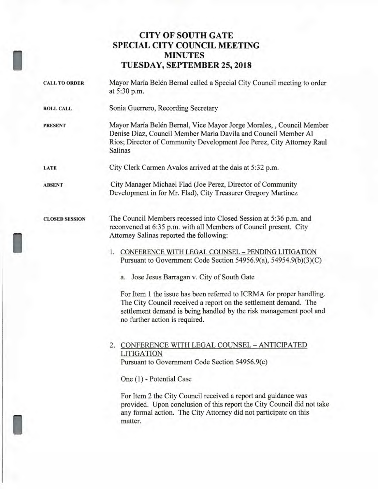## **CITY OF SOUTH GATE SPECIAL CITY COUNCIL MEETING MINUTES TUESDAY, SEPTEMBER 25, 2018**

|  | <b>CALL TO ORDER</b>  | Mayor María Belén Bernal called a Special City Council meeting to order<br>at 5:30 p.m.                                                                                                                                                          |
|--|-----------------------|--------------------------------------------------------------------------------------------------------------------------------------------------------------------------------------------------------------------------------------------------|
|  | <b>ROLL CALL</b>      | Sonia Guerrero, Recording Secretary                                                                                                                                                                                                              |
|  | <b>PRESENT</b>        | Mayor María Belén Bernal, Vice Mayor Jorge Morales, , Council Member<br>Denise Diaz, Council Member Maria Davila and Council Member Al<br>Rios; Director of Community Development Joe Perez, City Attorney Raul<br><b>Salinas</b>                |
|  | LATE                  | City Clerk Carmen Avalos arrived at the dais at 5:32 p.m.                                                                                                                                                                                        |
|  | <b>ABSENT</b>         | City Manager Michael Flad (Joe Perez, Director of Community<br>Development in for Mr. Flad), City Treasurer Gregory Martinez                                                                                                                     |
|  | <b>CLOSED SESSION</b> | The Council Members recessed into Closed Session at 5:36 p.m. and<br>reconvened at 6:35 p.m. with all Members of Council present. City<br>Attorney Salinas reported the following:                                                               |
|  |                       | 1. CONFERENCE WITH LEGAL COUNSEL - PENDING LITIGATION<br>Pursuant to Government Code Section 54956.9(a), 54954.9(b)(3)(C)                                                                                                                        |
|  |                       | a. Jose Jesus Barragan v. City of South Gate                                                                                                                                                                                                     |
|  |                       | For Item 1 the issue has been referred to ICRMA for proper handling.<br>The City Council received a report on the settlement demand. The<br>settlement demand is being handled by the risk management pool and<br>no further action is required. |
|  |                       | 2. CONFERENCE WITH LEGAL COUNSEL - ANTICIPATED<br><b>LITIGATION</b><br>Pursuant to Government Code Section 54956.9(c)                                                                                                                            |
|  |                       | One (1) - Potential Case                                                                                                                                                                                                                         |
|  |                       | For Item 2 the City Council received a report and guidance was<br>provided. Upon conclusion of this report the City Council did not take<br>any formal action. The City Attorney did not participate on this<br>matter.                          |